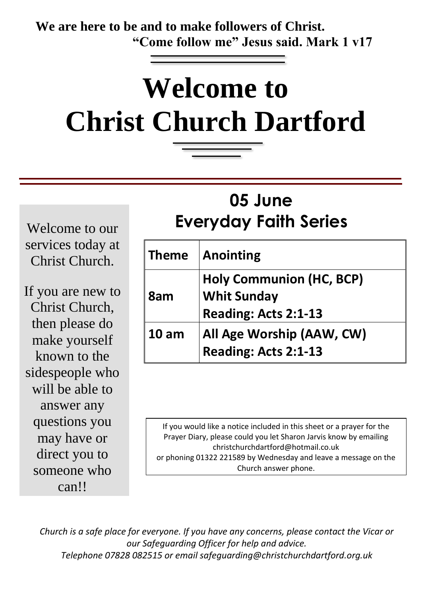**We are here to be and to make followers of Christ. "Come follow me" Jesus said. Mark 1 v17**

# **Welcome to Christ Church Dartford**

## **05 June Everyday Faith Series**

Welcome to our services today at Christ Church.

If you are new to Christ Church, then please do make yourself known to the sidespeople who will be able to answer any questions you may have or direct you to someone who can!!

| <b>Theme</b>     | <b>Anointing</b>                                                              |
|------------------|-------------------------------------------------------------------------------|
| 8am              | <b>Holy Communion (HC, BCP)</b><br><b>Whit Sunday</b><br>Reading: Acts 2:1-13 |
| 10 <sub>am</sub> | All Age Worship (AAW, CW)<br>Reading: Acts 2:1-13                             |

If you would like a notice included in this sheet or a prayer for the Prayer Diary, please could you let Sharon Jarvis know by emailing christchurchdartford@hotmail.co.uk or phoning 01322 221589 by Wednesday and leave a message on the Church answer phone.

*Church is a safe place for everyone. If you have any concerns, please contact the Vicar or our Safeguarding Officer for help and advice. Telephone 07828 082515 or email safeguarding@christchurchdartford.org.uk*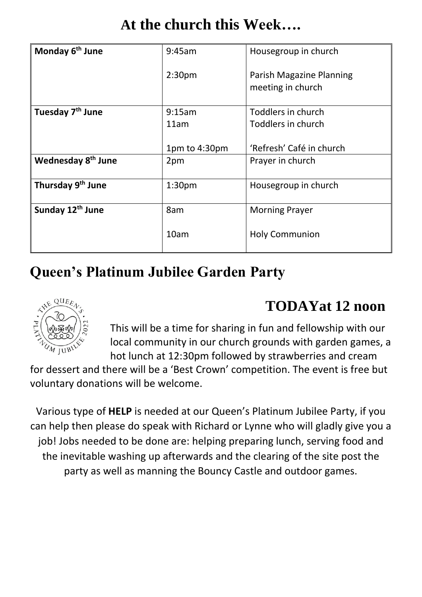| At the church this Week |  |  |
|-------------------------|--|--|
|-------------------------|--|--|

| Monday 6 <sup>th</sup> June    | 9:45am             | Housegroup in church                          |
|--------------------------------|--------------------|-----------------------------------------------|
|                                | 2:30 <sub>pm</sub> | Parish Magazine Planning<br>meeting in church |
| Tuesday 7 <sup>th</sup> June   | 9:15am             | Toddlers in church                            |
|                                | 11am               | Toddlers in church                            |
|                                |                    |                                               |
|                                | 1pm to 4:30pm      | 'Refresh' Café in church                      |
| Wednesday 8 <sup>th</sup> June | 2pm                | Prayer in church                              |
| Thursday 9 <sup>th</sup> June  | 1:30 <sub>pm</sub> | Housegroup in church                          |
| Sunday 12 <sup>th</sup> June   | 8am                | <b>Morning Prayer</b>                         |
|                                | 10am               | <b>Holy Communion</b>                         |

### **Queen's Platinum Jubilee Garden Party**



#### **TODAYat 12 noon**

This will be a time for sharing in fun and fellowship with our local community in our church grounds with garden games, a hot lunch at 12:30pm followed by strawberries and cream

for dessert and there will be a 'Best Crown' competition. The event is free but voluntary donations will be welcome.

Various type of **HELP** is needed at our Queen's Platinum Jubilee Party, if you can help then please do speak with Richard or Lynne who will gladly give you a job! Jobs needed to be done are: helping preparing lunch, serving food and the inevitable washing up afterwards and the clearing of the site post the party as well as manning the Bouncy Castle and outdoor games.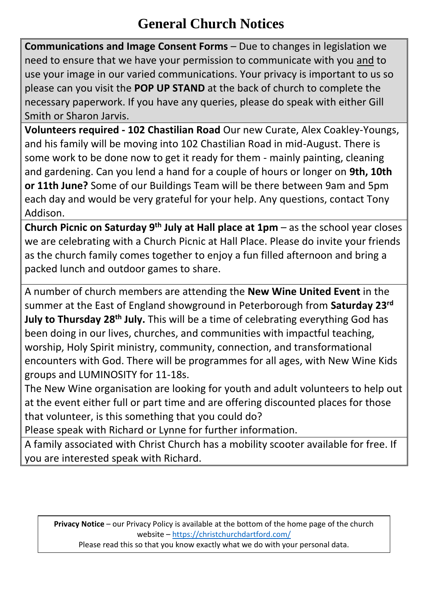#### **General Church Notices**

**Communications and Image Consent Forms** – Due to changes in legislation we need to ensure that we have your permission to communicate with you and to use your image in our varied communications. Your privacy is important to us so please can you visit the **POP UP STAND** at the back of church to complete the necessary paperwork. If you have any queries, please do speak with either Gill Smith or Sharon Jarvis.

**Volunteers required - 102 Chastilian Road** Our new Curate, Alex Coakley-Youngs, and his family will be moving into 102 Chastilian Road in mid-August. There is some work to be done now to get it ready for them - mainly painting, cleaning and gardening. Can you lend a hand for a couple of hours or longer on **9th, 10th or 11th June?** Some of our Buildings Team will be there between 9am and 5pm each day and would be very grateful for your help. Any questions, contact Tony Addison.

**Church Picnic on Saturday 9th July at Hall place at 1pm** – as the school year closes we are celebrating with a Church Picnic at Hall Place. Please do invite your friends as the church family comes together to enjoy a fun filled afternoon and bring a packed lunch and outdoor games to share.

A number of church members are attending the **New Wine United Event** in the summer at the East of England showground in Peterborough from **Saturday 23rd July to Thursday 28th July.** This will be a time of celebrating everything God has been doing in our lives, churches, and communities with impactful teaching, worship, Holy Spirit ministry, community, connection, and transformational encounters with God. There will be programmes for all ages, with New Wine Kids groups and LUMINOSITY for 11-18s.

The New Wine organisation are looking for youth and adult volunteers to help out at the event either full or part time and are offering discounted places for those that volunteer, is this something that you could do?

Please speak with Richard or Lynne for further information.

A family associated with Christ Church has a mobility scooter available for free. If you are interested speak with Richard.

**Privacy Notice** – our Privacy Policy is available at the bottom of the home page of the church website – <https://christchurchdartford.com/>

Please read this so that you know exactly what we do with your personal data.